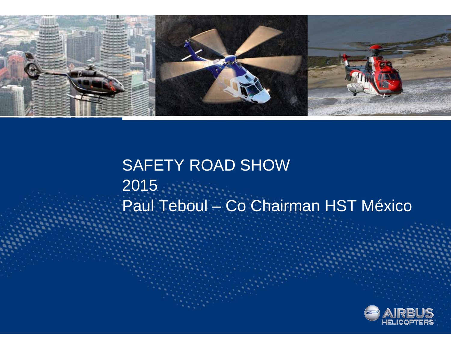

# SAFETY ROAD SHOW 2015 Paul Teboul – Co Chairman HST México

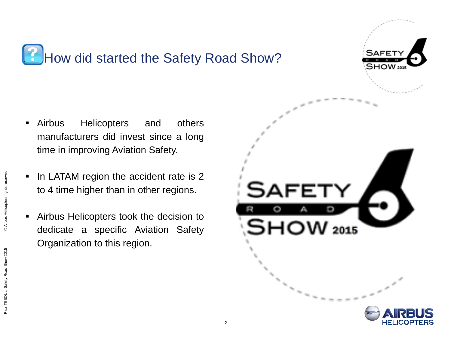

- $\blacksquare$  Airbus Helicopters and others manufacturers did invest since <sup>a</sup> long time in improving Aviation Safety.
- $\blacksquare$  In LATAM region the accident rate is 2 to 4 time higher than in other regions.
- $\blacksquare$  Airbus Helicopters took the decision to dedicate <sup>a</sup> specific Aviation Safety Organization to this region.

@ Airbus Helicopters rights reserve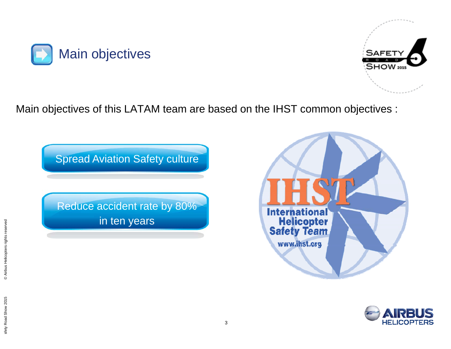



Main objectives of this LATAM team are based on the IHST common objectives :



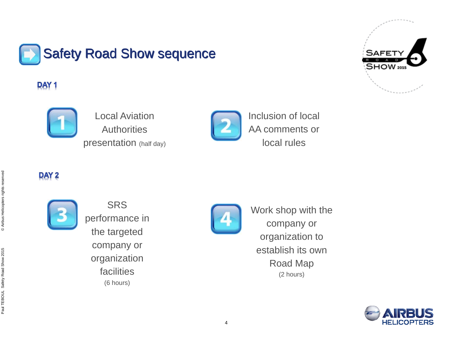

### **DAY1**



Local Aviation **Authorities** presentation (half day)



Inclusion of local AA comments or local rules

### DAY<sub>2</sub>



**SRS** performance in the targeted company or organization facilities(6 hours)



Work shop with the company or organization to establish its own Road Map (2 hours)



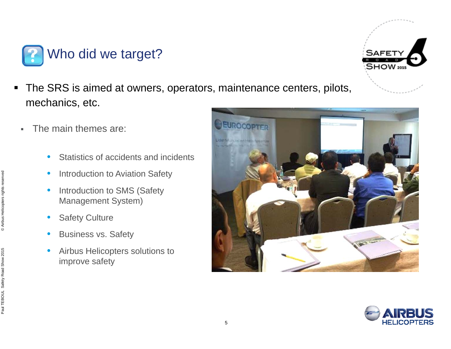

- $\blacksquare$  The SRS is aimed at owners, operators, maintenance centers, pilots, mechanics, etc.
	- $\blacksquare$  The main themes are:
		- $\bullet$ Statistics of accidents and incidents
		- •Introduction to Aviation Safety
		- $\bullet$  Introduction to SMS (Safety Management System)
		- •Safety Culture
		- •Business vs. Safety
		- $\bullet$  Airbus Helicopters solutions to improve safety





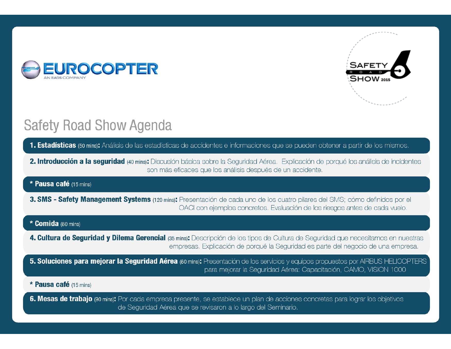



## **Safety Road Show Agenda**

1. Estadísticas (50 mins): Análisis de las estadísticas de accidentes e informaciones que se pueden obtener a partir de los mismos.

2. Introducción a la seguridad (40 mins): Discusión básica sobre la Seguridad Aérea. Explicación de porqué los análisis de incidentes son más eficaces que los análisis después de un accidente.

#### \* Pausa café (15 mins)

3. SMS - Safety Management Systems (120 mins): Presentación de cada uno de los cuatro pilares del SMS; cómo definidos por el OACI con ejemplos concretos. Evaluación de los riesgos antes de cada vuelo.

#### \* Comida (60 mins)

- 4. Cultura de Seguridad y Dilema Gerencial (35 mins): Descripción de los tipos de Cultura de Seguridad que necesitamos en nuestras empresas. Explicación de porqué la Seguridad es parte del negocio de una empresa.
- 5. Soluciones para mejorar la Seguridad Aérea (60 mins): Presentación de los servicios y equipos propuestos por AIRBUS HELICOPTERS para mejorar la Seguridad Aérea: Capacitación, CAMO, VISION 1000

#### \* Pausa café (15 mins)

6. Mesas de trabajo (90 mins): Por cada empresa presente, se establece un plan de acciones concretas para lograr los objetivos de Seguridad Aérea que se revisaron a lo largo del Seminario.

6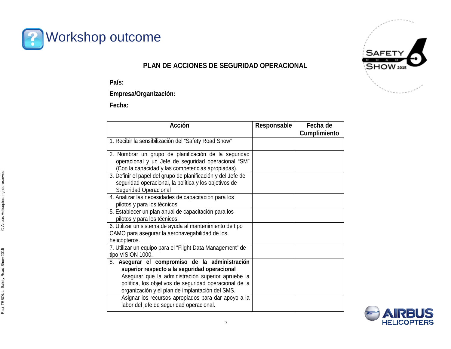

#### **PLAN DE ACCIONES DE SEGURIDAD OPERACIONAL**

**País:** 

**Empresa/Organización:**

**Fecha:** 

| <b>Acción</b>                                                                                                                                                                                                                                                     | Responsable | Fecha de<br><b>Cumplimiento</b> |
|-------------------------------------------------------------------------------------------------------------------------------------------------------------------------------------------------------------------------------------------------------------------|-------------|---------------------------------|
| 1. Recibir la sensibilización del "Safety Road Show"                                                                                                                                                                                                              |             |                                 |
| 2. Nombrar un grupo de planificación de la seguridad<br>operacional y un Jefe de seguridad operacional "SM"<br>(Con la capacidad y las competencias apropiadas).                                                                                                  |             |                                 |
| 3. Definir el papel del grupo de planificación y del Jefe de<br>seguridad operacional, la política y los objetivos de<br>Seguridad Operacional                                                                                                                    |             |                                 |
| 4. Analizar las necesidades de capacitación para los<br>pilotos y para los técnicos                                                                                                                                                                               |             |                                 |
| 5. Establecer un plan anual de capacitación para los<br>pilotos y para los técnicos.                                                                                                                                                                              |             |                                 |
| 6. Utilizar un sistema de ayuda al mantenimiento de tipo<br>CAMO para asegurar la aeronavegabilidad de los<br>helicópteros.                                                                                                                                       |             |                                 |
| 7. Utilizar un equipo para el "Flight Data Management" de<br>tipo VISION 1000.                                                                                                                                                                                    |             |                                 |
| 8. Asegurar el compromiso de la administración<br>superior respecto a la seguridad operacional<br>Asegurar que la administración superior apruebe la<br>política, los objetivos de seguridad operacional de la<br>organización y el plan de implantación del SMS. |             |                                 |
| Asignar los recursos apropiados para dar apoyo a la<br>labor del jefe de seguridad operacional.                                                                                                                                                                   |             |                                 |



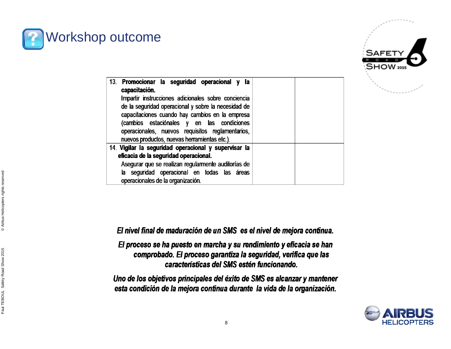



| 13. Promocionar la seguridad operacional y<br><b>la</b><br>capacitación.<br>Impartir instrucciones adicionales sobre conciencia<br>de la seguridad operacional y sobre la necesidad de<br>capacitaciones cuando hay cambios en la empresa<br>(cambios estaciónales y en las condiciones<br>operacionales, nuevos requisitos reglamentarios,<br>nuevos productos, nuevas herramientas etc.). |  |
|---------------------------------------------------------------------------------------------------------------------------------------------------------------------------------------------------------------------------------------------------------------------------------------------------------------------------------------------------------------------------------------------|--|
| 14. Vigilar la seguridad operacional y supervisar la<br>eficacia de la seguridad operacional.<br>Asegurar que se realizan regularmente auditorías de<br>la seguridad operacional en todas las áreas<br>operacionales de la organización.                                                                                                                                                    |  |

El nivel final de maduración de un SMS es el nivel de mejora continua.

El proceso se ha puesto en marcha y su rendimiento y eficacia se han comprobado. El proceso garantiza la seguridad, verifica que las características del SMS estén funcionando.

Uno de los objetivos principales del éxito de SMS es alcanzar y mantener esta condición de la mejora continua durante la vida de la organización.

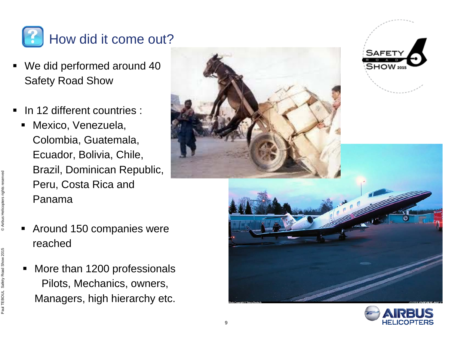

- ٠ We did performed around 40 Safety Road Show
- **In 12 different countries :** 
	- $\blacksquare$  Mexico, Venezuela, Colombia, Guatemala, Ecuador, Bolivia, Chile, Brazil, Dominican Republic, Peru, Costa Rica and Panama
	- $\blacksquare$  Around 150 companies were reached
	- $\blacksquare$  More than 1200 professionals Pilots, Mechanics, owners, Managers, high hierarchy etc.